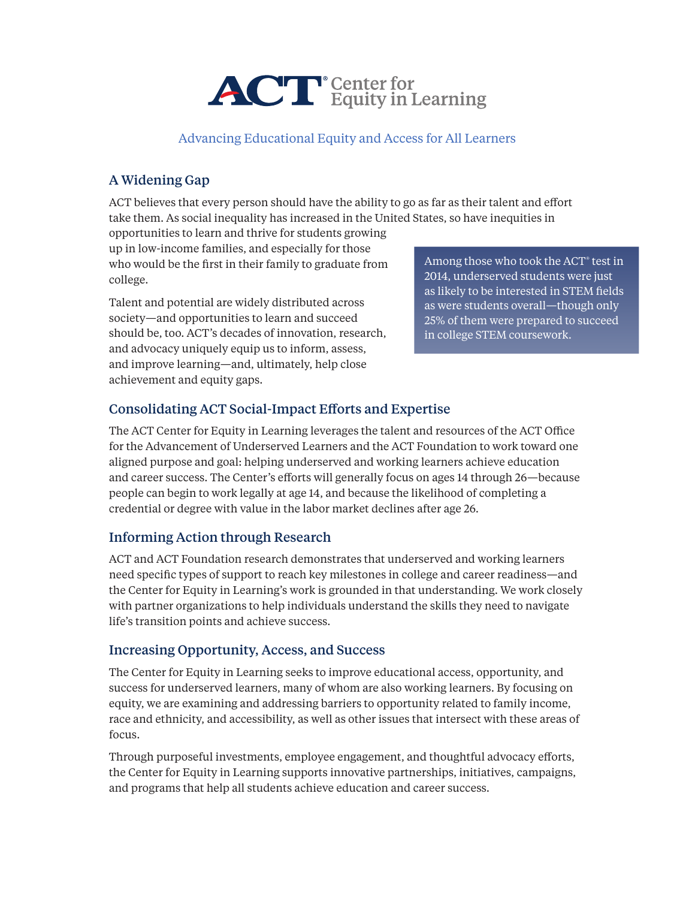

Advancing Educational Equity and Access for All Learners

# A Widening Gap

ACT believes that every person should have the ability to go as far as their talent and effort take them. As social inequality has increased in the United States, so have inequities in

opportunities to learn and thrive for students growing up in low-income families, and especially for those who would be the first in their family to graduate from college.

Talent and potential are widely distributed across society—and opportunities to learn and succeed should be, too. ACT's decades of innovation, research, and advocacy uniquely equip us to inform, assess, and improve learning—and, ultimately, help close achievement and equity gaps.

Among those who took the ACT® test in 2014, underserved students were just as likely to be interested in STEM fields as were students overall—though only 25% of them were prepared to succeed in college STEM coursework.

# Consolidating ACT Social-Impact Efforts and Expertise

The ACT Center for Equity in Learning leverages the talent and resources of the ACT Office for the Advancement of Underserved Learners and the ACT Foundation to work toward one aligned purpose and goal: helping underserved and working learners achieve education and career success. The Center's efforts will generally focus on ages 14 through 26—because people can begin to work legally at age 14, and because the likelihood of completing a credential or degree with value in the labor market declines after age 26.

# Informing Action through Research

ACT and ACT Foundation research demonstrates that underserved and working learners need specific types of support to reach key milestones in college and career readiness—and the Center for Equity in Learning's work is grounded in that understanding. We work closely with partner organizations to help individuals understand the skills they need to navigate life's transition points and achieve success.

### Increasing Opportunity, Access, and Success

The Center for Equity in Learning seeks to improve educational access, opportunity, and success for underserved learners, many of whom are also working learners. By focusing on equity, we are examining and addressing barriers to opportunity related to family income, race and ethnicity, and accessibility, as well as other issues that intersect with these areas of focus.

Through purposeful investments, employee engagement, and thoughtful advocacy efforts, the Center for Equity in Learning supports innovative partnerships, initiatives, campaigns, and programs that help all students achieve education and career success.